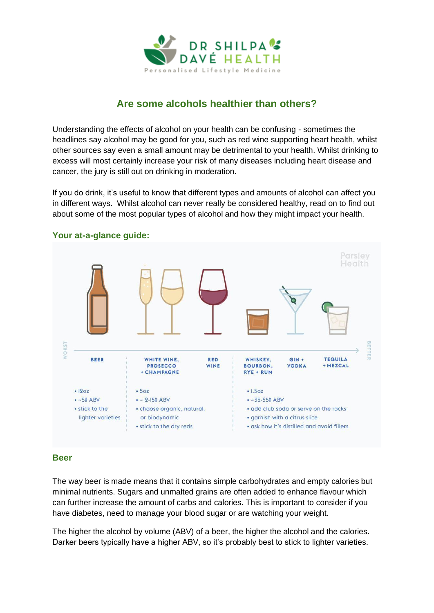

# **Are some alcohols healthier than others?**

Understanding the effects of alcohol on your health can be confusing - sometimes the headlines say alcohol may be good for you, such as red wine supporting heart health, whilst other sources say even a small amount may be detrimental to your health. Whilst drinking to excess will most certainly increase your risk of many diseases including heart disease and cancer, the jury is still out on drinking in moderation.

If you do drink, it's useful to know that different types and amounts of alcohol can affect you in different ways. Whilst alcohol can never really be considered healthy, read on to find out about some of the most popular types of alcohol and how they might impact your health.



## **Your at-a-glance guide:**

#### **Beer**

The way beer is made means that it contains simple carbohydrates and empty calories but minimal nutrients. Sugars and unmalted grains are often added to enhance flavour which can further increase the amount of carbs and calories. This is important to consider if you have diabetes, need to manage your blood sugar or are watching your weight.

The higher the alcohol by volume (ABV) of a beer, the higher the alcohol and the calories. Darker beers typically have a higher ABV, so it's probably best to stick to lighter varieties.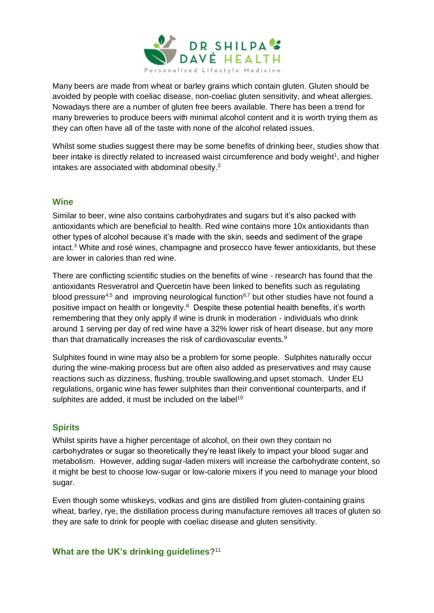

Many beers are made from wheat or barley grains which contain gluten. Gluten should be avoided by people with coeliac disease, non-coeliac gluten sensitivity, and wheat allergies. Nowadays there are a number of gluten free beers available. There has been a trend for many breweries to produce beers with minimal alcohol content and it is worth trying them as they can often have all of the taste with none of the alcohol related issues.

Whilst some studies suggest there may be some benefits of drinking beer, studies show that beer intake is directly related to increased waist circumference and body weight<sup>1</sup>, and higher intakes are associated with abdominal obesity.<sup>2</sup>

#### **Wine**

Similar to beer, wine also contains carbohydrates and sugars but it's also packed with antioxidants which are beneficial to health. Red wine contains more 10x antioxidants than other types of alcohol because it's made with the skin, seeds and sediment of the grape intact.<sup>3</sup> White and rosé wines, champagne and prosecco have fewer antioxidants, but these are lower in calories than red wine.

There are conflicting scientific studies on the benefits of wine - research has found that the antioxidants Resveratrol and Quercetin have been linked to benefits such as regulating blood pressure<sup>4,5</sup> and improving neurological function<sup>6,7</sup> but other studies have not found a positive impact on health or longevity.<sup>8</sup> Despite these potential health benefits, it's worth remembering that they only apply if wine is drunk in moderation - individuals who drink around 1 serving per day of red wine have a 32% lower risk of heart disease, but any more than that dramatically increases the risk of cardiovascular events.<sup>9</sup>

Sulphites found in wine may also be a problem for some people. Sulphites naturally occur during the wine-making process but are often also added as preservatives and may cause reactions such as dizziness, flushing, trouble swallowing,and upset stomach. Under EU regulations, organic wine has fewer sulphites than their conventional counterparts, and if sulphites are added, it must be included on the label<sup>10</sup>

## **Spirits**

Whilst spirits have a higher percentage of alcohol, on their own they contain no carbohydrates or sugar so theoretically they're least likely to impact your blood sugar and metabolism. However, adding sugar-laden mixers will increase the carbohydrate content, so it might be best to choose low-sugar or low-calorie mixers if you need to manage your blood sugar.

Even though some whiskeys, vodkas and gins are distilled from gluten-containing grains wheat, barley, rye, the distillation process during manufacture removes all traces of gluten so they are safe to drink for people with coeliac disease and gluten sensitivity.

#### **What are the UK's drinking guidelines?**11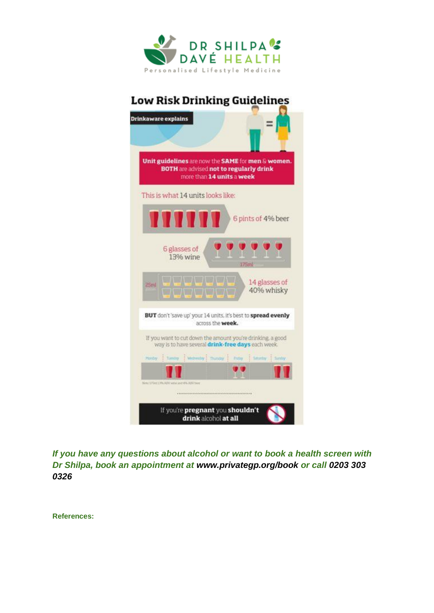

# **Low Risk Drinking Guidelines**



*If you have any questions about alcohol or want to book a health screen with Dr Shilpa, book an appointment at [www.privategp.org/book](http://www.privategp.org/book) or call 0203 303 0326*

**References:**